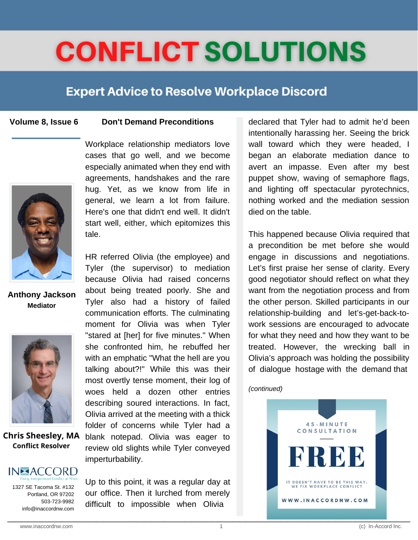# **CONFLICT SOLUTIONS**

### **Expert Advice to Resolve Workplace Discord**

#### **Volume 8, Issue 6**

### **Don't Demand Preconditions**



**Anthony Jackson Mediator**



**Chris Sheesley, MA Conflict Resolver**

### **IN-ACCORD**

1327 SE Tacoma St. #132 Portland, OR 97202 503-723-9982 info@inaccordnw.com Workplace relationship mediators love cases that go well, and we become especially animated when they end with agreements, handshakes and the rare hug. Yet, as we know from life in general, we learn a lot from failure. Here's one that didn't end well. It didn't start well, either, which epitomizes this tale.

HR referred Olivia (the employee) and Tyler (the supervisor) to mediation because Olivia had raised concerns about being treated poorly. She and Tyler also had a history of failed communication efforts. The culminating moment for Olivia was when Tyler "stared at [her] for five minutes." When she confronted him, he rebuffed her with an emphatic "What the hell are you talking about?!" While this was their most overtly tense moment, their log of woes held a dozen other entries describing soured interactions. In fact, Olivia arrived at the meeting with a thick folder of concerns while Tyler had a blank notepad. Olivia was eager to review old slights while Tyler conveyed imperturbability.

Up to this point, it was a regular day at our office. Then it lurched from merely difficult to impossible when Olivia

declared that Tyler had to admit he'd been intentionally harassing her. Seeing the brick wall toward which they were headed, I began an elaborate mediation dance to avert an impasse. Even after my best puppet show, waving of semaphore flags, and lighting off spectacular pyrotechnics, nothing worked and the mediation session died on the table.

This happened because Olivia required that a precondition be met before she would engage in discussions and negotiations. Let's first praise her sense of clarity. Every good negotiator should reflect on what they want from the negotiation process and from the other person. Skilled participants in our relationship-building and let's-get-back-towork sessions are encouraged to advocate for what they need and how they want to be treated. However, the wrecking ball in Olivia's approach was holding the possibility of dialogue hostage with the demand that

*(continued)*